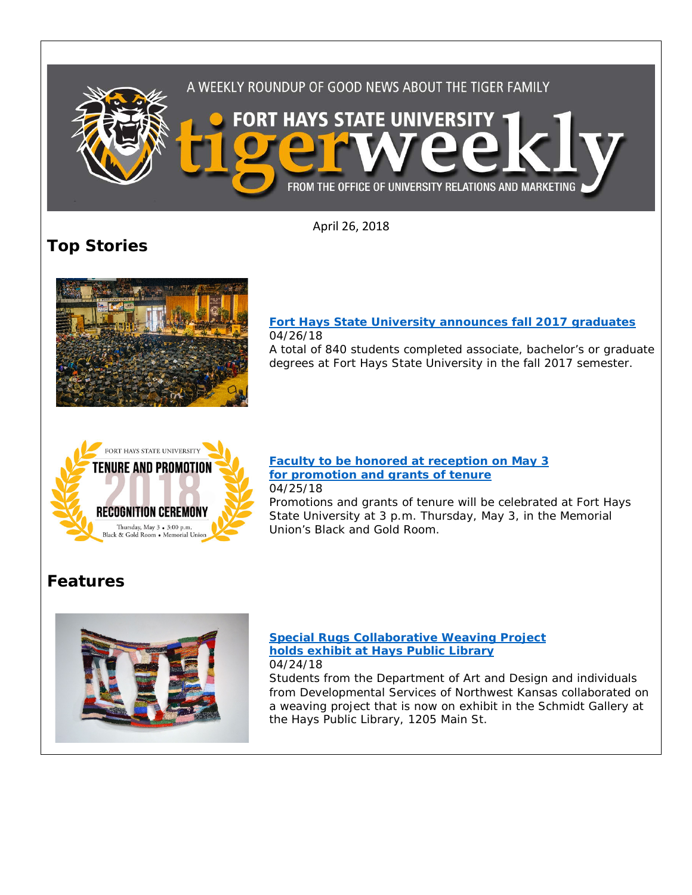

April 26, 2018

**Top Stories**



### **[Fort Hays State University announces fall 2017 graduates](https://www.fhsu.edu/news/2018/04/fort-hays-state-university-announces-fall-2017-graduates.html)** 04/26/18

A total of 840 students completed associate, bachelor's or graduate degrees at Fort Hays State University in the fall 2017 semester.



#### **[Faculty to be honored at reception on May 3](https://www.fhsu.edu/news/2018/04/faculty-to-be-honored-at-reception-on-may-3-for-promotion-and-grants-of-tenure.html)  [for promotion and grants of tenure](https://www.fhsu.edu/news/2018/04/faculty-to-be-honored-at-reception-on-may-3-for-promotion-and-grants-of-tenure.html)** 04/25/18

Promotions and grants of tenure will be celebrated at Fort Hays State University at 3 p.m. Thursday, May 3, in the Memorial Union's Black and Gold Room.

## **Features**



#### **[Special Rugs Collaborative Weaving Project](https://www.fhsu.edu/news/2018/04/special-rugs-collaborative-weaving-project-holds-exhibit-at-hays-public-library.html)  [holds exhibit at Hays Public Library](https://www.fhsu.edu/news/2018/04/special-rugs-collaborative-weaving-project-holds-exhibit-at-hays-public-library.html)** 04/24/18

Students from the Department of Art and Design and individuals from Developmental Services of Northwest Kansas collaborated on a weaving project that is now on exhibit in the Schmidt Gallery at the Hays Public Library, 1205 Main St.